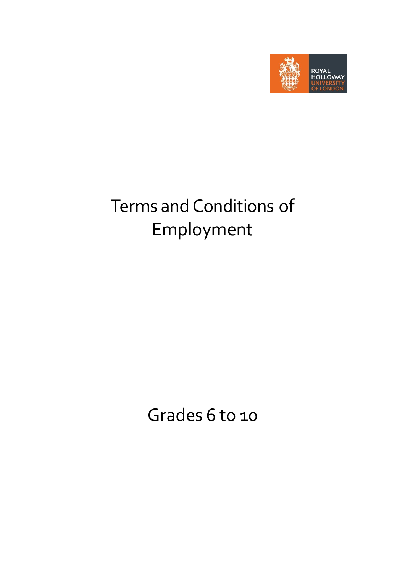

# Terms and Conditions of Employment

Grades 6 to 10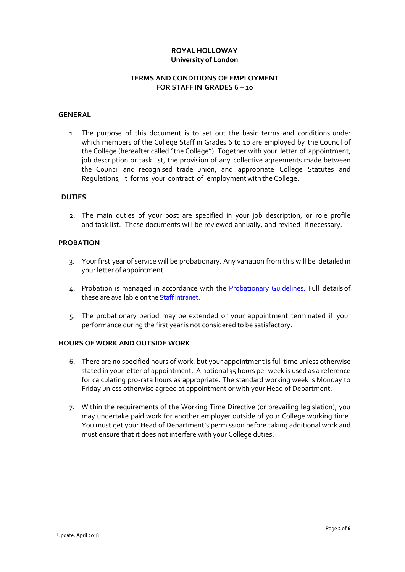# **ROYAL HOLLOWAY University of London**

# **TERMS AND CONDITIONS OF EMPLOYMENT FOR STAFF IN GRADES 6 – 10**

## **GENERAL**

1. The purpose of this document is to set out the basic terms and conditions under which members of the College Staff in Grades 6 to 10 are employed by the Council of the College (hereafter called "the College"). Together with your letter of appointment, job description or task list, the provision of any collective agreements made between the Council and recognised trade union, and appropriate College Statutes and Regulations, it forms your contract of employment with the College.

#### **DUTIES**

2. The main duties of your post are specified in your job description, or role profile and task list. These documents will be reviewed annually, and revised if necessary.

# **PROBATION**

- 3. Your first year of service will be probationary. Any variation from this will be detailed in your letter of appointment.
- 4. Probation is managed in accordance with the [Probationary](https://www.royalholloway.ac.uk/staff/assets/docs/pdf/human-resources/probation-guidelines.pdf) Guidelines. Full details of these are available on th[e Staff Intranet.](https://www.royalholloway.ac.uk/staff/your-employment/home.aspx)
- 5. The probationary period may be extended or your appointment terminated if your performance during the first year is not considered to be satisfactory.

## **HOURS OF WORK AND OUTSIDE WORK**

- 6. There are no specified hours of work, but your appointment is full time unless otherwise stated in your letter of appointment. A notional 35 hours per week is used as a reference for calculating pro-rata hours as appropriate. The standard working week is Monday to Friday unless otherwise agreed at appointment or with your Head of Department.
- 7. Within the requirements of the Working Time Directive (or prevailing legislation), you may undertake paid work for another employer outside of your College working time. You must get your Head of Department's permission before taking additional work and must ensure that it does not interfere with your College duties.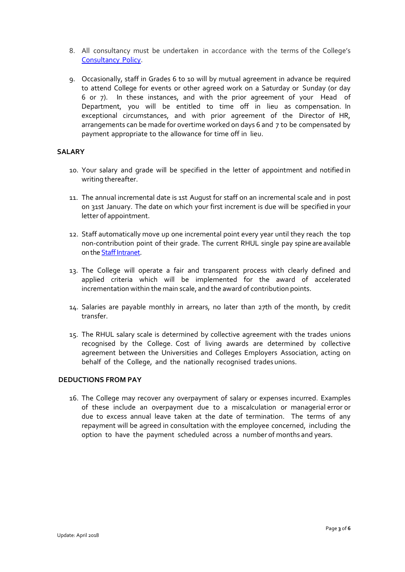- 8. All consultancy must be undertaken in accordance with the terms of the College's [Consultancy](https://www.royalholloway.ac.uk/staff/assets/docs/pdf/policies-hub/research-and-enterprise/consultancypolicy.pdf) Policy.
- 9. Occasionally, staff in Grades 6 to 10 will by mutual agreement in advance be required to attend College for events or other agreed work on a Saturday or Sunday (or day 6 or 7). In these instances, and with the prior agreement of your Head of Department, you will be entitled to time off in lieu as compensation. In exceptional circumstances, and with prior agreement of the Director of HR, arrangements can be made for overtime worked on days 6 and 7 to be compensated by payment appropriate to the allowance for time off in lieu.

## **SALARY**

- 10. Your salary and grade will be specified in the letter of appointment and notified in writing thereafter.
- 11. The annual incremental date is 1st August for staff on an incremental scale and in post on 31st January. The date on which your first increment is due will be specified in your letter of appointment.
- 12. Staff automatically move up one incremental point every year until they reach the top non-contribution point of their grade. The current RHUL single pay spine are available on th[e Staff Intranet.](https://www.royalholloway.ac.uk/staff/your-employment/home.aspx)
- 13. The College will operate a fair and transparent process with clearly defined and applied criteria which will be implemented for the award of accelerated incrementation within the main scale, and the award of contribution points.
- 14. Salaries are payable monthly in arrears, no later than 27th of the month, by credit transfer.
- 15. The RHUL salary scale is determined by collective agreement with the trades unions recognised by the College. Cost of living awards are determined by collective agreement between the Universities and Colleges Employers Association, acting on behalf of the College, and the nationally recognised trades unions.

# **DEDUCTIONS FROM PAY**

16. The College may recover any overpayment of salary or expenses incurred. Examples of these include an overpayment due to a miscalculation or managerial error or due to excess annual leave taken at the date of termination. The terms of any repayment will be agreed in consultation with the employee concerned, including the option to have the payment scheduled across a number of months and years.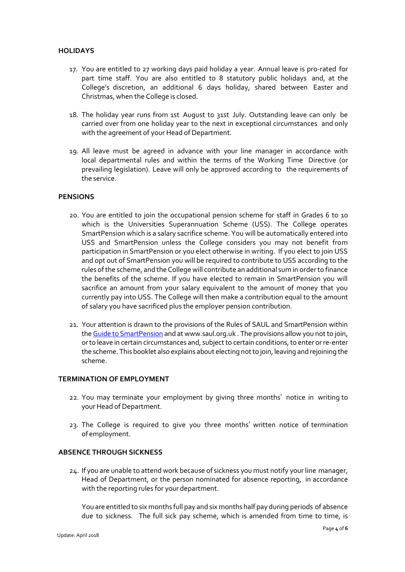# **HOLIDAYS**

- 17. You are entitled to 27 working days paid holiday a year. Annual leave is pro-rated for part time staff. You are also entitled to 8 statutory public holidays and, at the College's discretion, an additional 6 days holiday, shared between Easter and Christmas, when the College is closed.
- 18. The holiday year runs from 1st August to 31st July. Outstanding leave can only be carried over from one holiday year to the next in exceptional circumstances and only with the agreement of your Head of Department.
- 19. All leave must be agreed in advance with your line manager in accordance with local departmental rules and within the terms of the Working Time Directive (or prevailing legislation). Leave will only be approved according to the requirements of the service.

## **PENSIONS**

- 20. You are entitled to join the occupational pension scheme for staff in Grades 6 to 10 which is the Universities Superannuation Scheme (USS). The College operates SmartPension which is a salary sacrifice scheme. You will be automatically entered into USS and SmartPension unless the College considers you may not benefit from participation in SmartPension or you elect otherwise in writing. If you elect to join USS and opt out of SmartPension you will be required to contribute to USS according to the rules of the scheme, and the College will contribute an additional sum in order to finance the benefits of the scheme. If you have elected to remain in SmartPension you will sacrifice an amount from your salary equivalent to the amount of money that you currently pay into USS. The College will then make a contribution equal to the amount of salary you have sacrificed plus the employer pension contribution.
- 21. Your attention is drawn to the provisions of the Rules of SAUL and SmartPension within th[e Guide to SmartPension](https://www.royalholloway.ac.uk/restricted/contensis/finance/documents/pdf/smartpension-booklet-april-2016.pdf) and at www.saul.org.uk . The provisions allow you not to join, or to leave in certain circumstances and, subject to certain conditions, to enter or re-enter the scheme. This booklet also explains about electing not to join, leaving and rejoining the scheme.

## **TERMINATION OF EMPLOYMENT**

- 22. You may terminate your employment by giving three months' notice in writing to your Head of Department.
- 23. The College is required to give you three months' written notice of termination of employment.

# **ABSENCE THROUGH SICKNESS**

24. If you are unable to attend work because of sickness you must notify your line manager, Head of Department, or the person nominated for absence reporting, in accordance with the reporting rules for your department.

You are entitled to six months full pay and six months half pay during periods of absence due to sickness. The full sick pay scheme, which is amended from time to time, is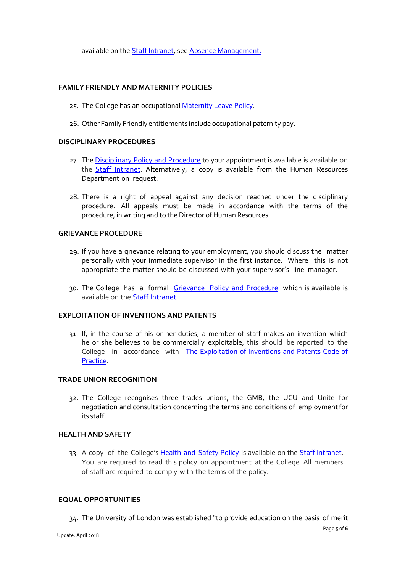available on the [Staff Intranet,](https://www.royalholloway.ac.uk/staff/your-employment/home.aspx) se[e Absence Management.](https://www.royalholloway.ac.uk/staff/your-employment/human-resources/policies-procedures-and-forms/a-h/absence-management.aspx)

# **FAMILY FRIENDLY AND MATERNITY POLICIES**

- 25. The College has an occupational [Maternity](https://www.royalholloway.ac.uk/staff/assets/docs/pdf/human-resources/maternity-leave-policy.pdf) Leave Policy.
- 26. Other Family Friendly entitlements include occupational paternity pay.

# **DISCIPLINARY PROCEDURES**

- 27. The [Disciplinary Policy and Procedure](https://www.royalholloway.ac.uk/staff/assets/docs/pdf/human-resources/disciplinary-policy-and-procedure.pdf) to your appointment is available is available on the [Staff Intranet.](https://www.royalholloway.ac.uk/staff/your-employment/home.aspx) Alternatively, a copy is available from the Human Resources Department on request.
- 28. There is a right of appeal against any decision reached under the disciplinary procedure. All appeals must be made in accordance with the terms of the procedure, in writing and to the Director of Human Resources.

# **GRIEVANCE PROCEDURE**

- 29. If you have a grievance relating to your employment, you should discuss the matter personally with your immediate supervisor in the first instance. Where this is not appropriate the matter should be discussed with your supervisor's line manager.
- 30. The College has a formal [Grievance Policy and Procedure](https://www.royalholloway.ac.uk/staff/assets/docs/pdf/human-resources/grievance-policy-and-procedure.pdf) which is available is available on the [Staff Intranet.](https://www.royalholloway.ac.uk/staff/your-employment/home.aspx)

## **EXPLOITATION OF INVENTIONS AND PATENTS**

31. If, in the course of his or her duties, a member of staff makes an invention which he or she believes to be commercially exploitable, this should be reported to the College in accordance with [The Exploitation of Inventions and Patents Code of](https://www.royalholloway.ac.uk/staff/assets/docs/pdf/policies-hub/research-and-enterprise/exploitationofinventionsandpatents2014-3.pdf)  [Practice.](https://www.royalholloway.ac.uk/staff/assets/docs/pdf/policies-hub/research-and-enterprise/exploitationofinventionsandpatents2014-3.pdf)

## **TRADE UNION RECOGNITION**

32. The College recognises three trades unions, the GMB, the UCU and Unite for negotiation and consultation concerning the terms and conditions of employmentfor its staff.

## **HEALTH AND SAFETY**

33. A copy of the College's **Health and [Safety Policy](https://www.royalholloway.ac.uk/staff/assets/docs/pdf/health-and-safety/health-and-safety-policy-final.pdf)** is available on the **Staff Intranet**. You are required to read this policy on appointment at the College. All members of staff are required to comply with the terms of the policy.

## **EQUAL OPPORTUNITIES**

34. The University of London was established "to provide education on the basis of merit